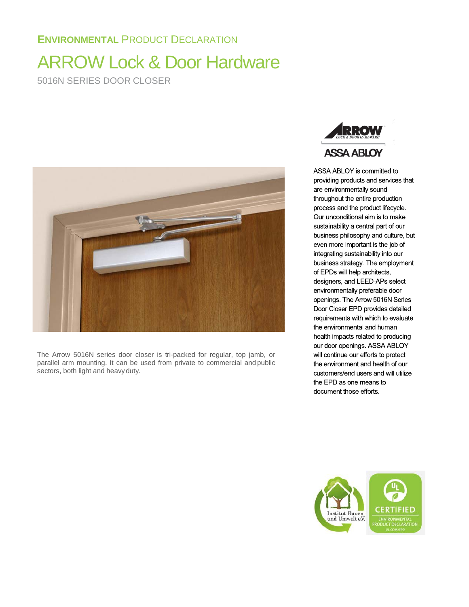# **ENVIRONMENTAL** PRODUCT DECLARATION

# ARROW Lock & Door Hardware 5016N SERIES DOOR CLOSER



The Arrow 5016N series door closer is tri-packed for regular, top jamb, or parallel arm mounting. It can be used from private to commercial and public sectors, both light and heavy duty.



ASSA ABLOY is committed to providing products and services that are environmentally sound throughout the entire production process and the product lifecycle. Our unconditional aim is to make sustainability a central part of our business philosophy and culture, but even more important is the job of integrating sustainability into our business strategy. The employment of EPDs will help architects, designers, and LEED-APs select environmentally preferable door openings. The Arrow 5016N Series Door Closer EPD provides detailed requirements with which to evaluate the environmental and human health impacts related to producing our door openings. ASSA ABLOY will continue our efforts to protect the environment and health of our customers/end users and will utilize the EPD as one means to document those efforts.

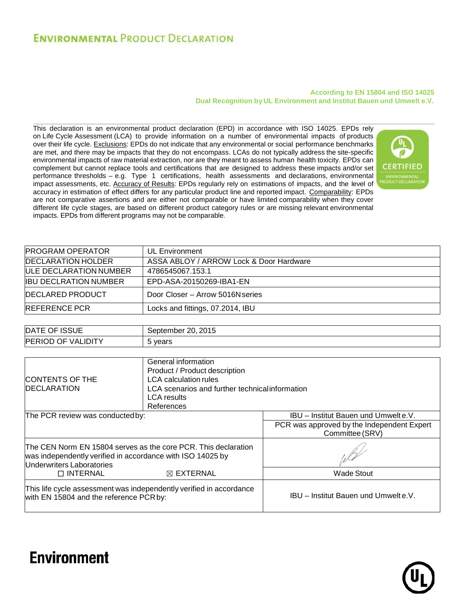# **ENVIRONMENTAL PRODUCT DECLARATION**

#### **According to EN 15804 and ISO 14025 Dual Recognition by UL Environment and Institut Bauen und Umwelt e.V.**

This declaration is an environmental product declaration (EPD) in accordance with ISO 14025. EPDs rely on Life Cycle Assessment (LCA) to provide information on a number of environmental impacts of products over their life cycle. Exclusions: EPDs do not indicate that any environmental or social performance benchmarks are met, and there may be impacts that they do not encompass. LCAs do not typically address the site-specific environmental impacts of raw material extraction, nor are they meant to assess human health toxicity. EPDs can complement but cannot replace tools and certifications that are designed to address these impacts and/or set performance thresholds – e.g. Type 1 certifications, health assessments and declarations, environmental impact assessments, etc. Accuracy of Results: EPDs regularly rely on estimations of impacts, and the level of accuracy in estimation of effect differs for any particular product line and reported impact. Comparability: EPDs are not comparative assertions and are either not comparable or have limited comparability when they cover different life cycle stages, are based on different product category rules or are missing relevant environmental impacts. EPDs from different programs may not be comparable.



| <b>PROGRAM OPERATOR</b>      | UL Environment                          |
|------------------------------|-----------------------------------------|
| <b>IDECLARATION HOLDER</b>   | ASSA ABLOY / ARROW Lock & Door Hardware |
| ULE DECLARATION NUMBER       | 4786545067.153.1                        |
| <b>IBU DECLRATION NUMBER</b> | EPD-ASA-20150269-IBA1-EN                |
| <b>IDECLARED PRODUCT</b>     | Door Closer – Arrow 5016N series        |
| <b>REFERENCE PCR</b>         | Locks and fittings, 07.2014, IBU        |
|                              |                                         |

| OF ISSUE                                | 20, 2015  |
|-----------------------------------------|-----------|
| DA <sub>1</sub>                         | September |
| <b>PERIOD</b><br><b>VALIDITY</b><br>OF. | vears     |

| <b>CONTENTS OF THE</b><br><b>IDECLARATION</b>                                                                                                             | General information<br>Product / Product description<br><b>LCA</b> calculation rules<br>LCA scenarios and further technical information<br><b>LCA</b> results<br>References |                                                                                                              |
|-----------------------------------------------------------------------------------------------------------------------------------------------------------|-----------------------------------------------------------------------------------------------------------------------------------------------------------------------------|--------------------------------------------------------------------------------------------------------------|
| The PCR review was conducted by:                                                                                                                          |                                                                                                                                                                             | <b>IBU</b> – Institut Bauen und Umwelt e.V.<br>PCR was approved by the Independent Expert<br>Committee (SRV) |
| The CEN Norm EN 15804 serves as the core PCR. This declaration<br>was independently verified in accordance with ISO 14025 by<br>Underwriters Laboratories |                                                                                                                                                                             |                                                                                                              |
| $\Box$ INTERNAL                                                                                                                                           | $\boxtimes$ EXTERNAL                                                                                                                                                        | <b>Wade Stout</b>                                                                                            |
| This life cycle assessment was independently verified in accordance<br>with EN 15804 and the reference PCR by:                                            |                                                                                                                                                                             | IBU - Institut Bauen und Umwelte.V.                                                                          |



# **Environment**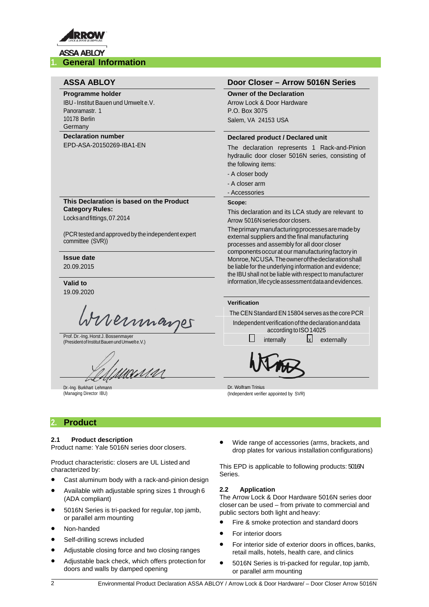

#### **Programme holder**

IBU -Institut Bauen und Umwelt e.V. Panoramastr. 1 10178 Berlin **Germany** 

#### **Declaration number**

EPD-ASA-20150269-IBA1-EN

**This Declaration is based on the Product Category Rules:**

Locksandfittings,07.2014

(PCR tested and approved by the independent expert committee (SVR))

#### **Issue date** 20.09.2015

**Valid to** 19.09.2020

vernnager

Prof. Dr.-Ing. Horst J. Bossenmayer<br>(President of Institut Bauen und Umwelt e.V.)

unis

Dr.-Ing. Burkhart Lehmann (Managing Director IBU)

### **ASSA ABLOY Door Closer – Arrow 5016N Series**

**Owner of the Declaration** Arrow Lock & Door Hardware P.O. Box 3075 Salem, VA 24153 USA

#### **Declared product / Declared unit**

The declaration represents 1 Rack-and-Pinion hydraulic door closer 5016N series, consisting of the following items:

- A closer body
- A closer arm
- Accessories

#### **Scope:**

This declaration and its LCA study are relevant to Arrow 5016N series door closers.

Theprimarymanufacturingprocessesaremadeby external suppliers and the final manufacturing processes and assembly for all door closer componentsoccurat our manufacturingfactoryin Monroe,NCUSA.Theownerofthedeclarationshall be liable for the underlying information and evidence; the IBU shall not be liable with respect to manufacturer information, life cycle assessment data and evidences.

### **Verification**

The CEN Standard EN 15804 serves as the core PCR

Independent verificationofthe declarationanddata according to ISO 14025

internally  $\vert x \vert$  externally

Dr. Wolfram Trinius (Independent verifier appointed by SVR)

# **2. Product**

#### **2.1 Product description**

Product name: Yale 5016N series door closers.

Product characteristic: closers are UL Listed and characterized by:

- Cast aluminum body with a rack-and-pinion design
- Available with adjustable spring sizes 1 through 6 (ADA compliant)
- 5016N Series is tri-packed for regular, top jamb, or parallel arm mounting
- Non-handed
- Self-drilling screws included
- Adjustable closing force and two closing ranges
- Adjustable back check, which offers protection for doors and walls by damped opening

• Wide range of accessories (arms, brackets, and drop plates for various installation configurations)

This EPD is applicable to following products: 5016N Series.

#### **2.2 Application**

The Arrow Lock & Door Hardware 5016N series door closer can be used – from private to commercial and public sectors both light and heavy:

- Fire & smoke protection and standard doors
- For interior doors
- For interior side of exterior doors in offices, banks, retail malls, hotels, health care, and clinics
- 5016N Series is tri-packed for regular, top jamb, or parallel arm mounting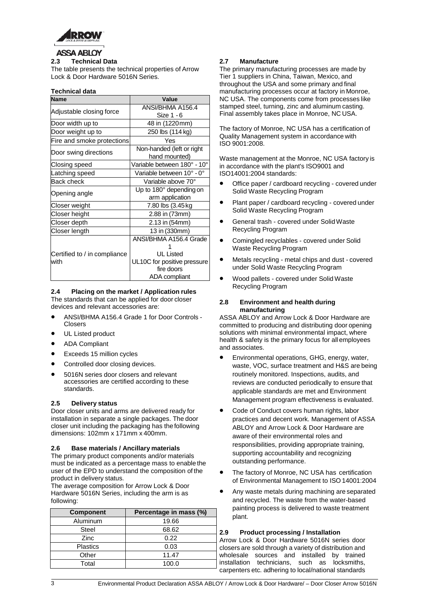

# **2.3 Technical Data**

The table presents the technical properties of Arrow Lock & Door Hardware 5016N Series.

#### **Technical data**

| <b>Name</b>                  | Value                                      |
|------------------------------|--------------------------------------------|
|                              | ANSI/BHMA A156.4                           |
| Adjustable closing force     | Size 1 - 6                                 |
| Door width up to             | 48 in (1220 mm)                            |
| Door weight up to            | 250 lbs (114 kg)                           |
| Fire and smoke protections   | Yes                                        |
| Door swing directions        | Non-handed (left or right<br>hand mounted) |
| Closing speed                | Variable between 180° - 10°                |
| Latching speed               | Variable between 10° - 0°                  |
| <b>Back check</b>            | Variable above 70°                         |
| Opening angle                | Up to 180° depending on                    |
|                              | arm application                            |
| Closer weight                | 7.80 lbs (3.45 kg)                         |
| Closer height                | 2.88 in (73mm)                             |
| Closer depth                 | 2.13 in (54mm)                             |
| Closer length                | 13 in (330mm)                              |
|                              | ANSI/BHMA A156.4 Grade                     |
|                              |                                            |
| Certified to / in compliance | UL Listed                                  |
| with                         | UL10C for positive pressure                |
|                              | fire doors                                 |
|                              | ADA compliant                              |

#### **2.4 Placing on the market / Application rules**

The standards that can be applied for door closer devices and relevant accessories are:

- ANSI/BHMA A156.4 Grade 1 for Door Controls Closers
- UL Listed product
- ADA Compliant
- Exceeds 15 million cycles
- Controlled door closing devices.
- 5016N series door closers and relevant accessories are certified according to these standards.

#### **2.5 Delivery status**

Door closer units and arms are delivered ready for installation in separate a single packages. The door closer unit including the packaging has the following dimensions: 102mm x 171mm x 400mm.

#### **2.6 Base materials / Ancillary materials**

The primary product components and/or materials must be indicated as a percentage mass to enable the user of the EPD to understand the composition of the product in delivery status.

The average composition for Arrow Lock & Door Hardware 5016N Series, including the arm is as following:

| <b>Component</b> | Percentage in mass (%) |
|------------------|------------------------|
| Aluminum         | 19.66                  |
| <b>Steel</b>     | 68.62                  |
| Zinc             | 0.22                   |
| <b>Plastics</b>  | 0.03                   |
| Other            | 11.47                  |
| Total            | 100.0                  |

#### **2.7 Manufacture**

The primary manufacturing processes are made by Tier 1 suppliers in China, Taiwan, Mexico, and throughout the USA and some primary and final manufacturing processes occur at factory in Monroe, NC USA. The components come from processes like stamped steel, turning, zinc and aluminum casting. Final assembly takes place in Monroe, NC USA.

The factory of Monroe, NC USA has a certification of Quality Management system in accordance with ISO 9001:2008.

Waste management at the Monroe, NC USA factory is in accordance with the plant's ISO9001 and ISO14001:2004 standards:

- Office paper / cardboard recycling covered under Solid Waste Recycling Program
- Plant paper / cardboard recycling covered under Solid Waste Recycling Program
- General trash covered under SolidWaste Recycling Program
- Comingled recyclables covered under Solid Waste Recycling Program
- Metals recycling metal chips and dust covered under Solid Waste Recycling Program
- Wood pallets covered under Solid Waste Recycling Program

#### **2.8 Environment and health during manufacturing**

ASSA ABLOY and Arrow Lock & Door Hardware are committed to producing and distributing door opening solutions with minimal environmental impact, where health & safety is the primary focus for all employees and associates.

- Environmental operations, GHG, energy, water, waste, VOC, surface treatment and H&S are being routinely monitored. Inspections, audits, and reviews are conducted periodically to ensure that applicable standards are met and Environment Management program effectiveness is evaluated.
- Code of Conduct covers human rights, labor practices and decent work. Management of ASSA ABLOY and Arrow Lock & Door Hardware are aware of their environmental roles and responsibilities, providing appropriate training, supporting accountability and recognizing outstanding performance.
- The factory of Monroe, NC USA has certification of Environmental Management to ISO 14001:2004
- Any waste metals during machining are separated and recycled. The waste from the water-based painting process is delivered to waste treatment plant.

#### **2.9 Product processing / Installation**

Arrow Lock & Door Hardware 5016N series door closers are sold through a variety of distribution and wholesale sources and installed by trained installation technicians, such as locksmiths, carpenters etc. adhering to local/national standards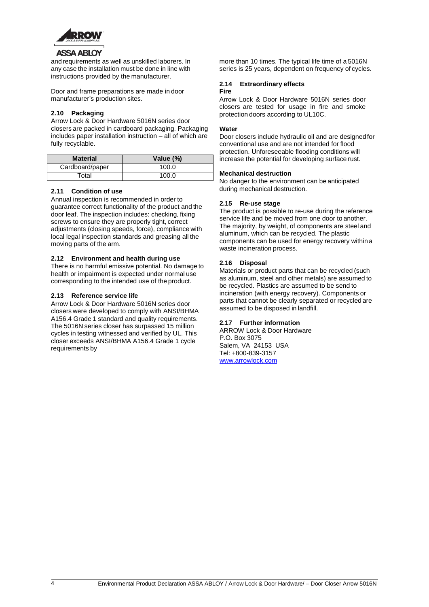

#### **ASSA ABLOY**

and requirements as well as unskilled laborers. In any case the installation must be done in line with instructions provided by the manufacturer.

Door and frame preparations are made in door manufacturer's production sites.

#### **2.10 Packaging**

Arrow Lock & Door Hardware 5016N series door closers are packed in cardboard packaging. Packaging includes paper installation instruction – all of which are fully recyclable.

| <b>Material</b> | Value (%) |
|-----------------|-----------|
| Cardboard/paper | 100.0     |
| Total           | 100.0     |

#### **2.11 Condition of use**

Annual inspection is recommended in order to guarantee correct functionality of the product and the door leaf. The inspection includes: checking, fixing screws to ensure they are properly tight, correct adjustments (closing speeds, force), compliance with local legal inspection standards and greasing all the moving parts of the arm.

#### **2.12 Environment and health during use**

There is no harmful emissive potential. No damage to health or impairment is expected under normal use corresponding to the intended use of the product.

#### **2.13 Reference service life**

Arrow Lock & Door Hardware 5016N series door closers were developed to comply with ANSI/BHMA A156.4 Grade 1 standard and quality requirements. The 5016N series closer has surpassed 15 million cycles in testing witnessed and verified by UL. This closer exceeds ANSI/BHMA A156.4 Grade 1 cycle requirements by

more than 10 times. The typical life time of a 5016N series is 25 years, dependent on frequency of cycles.

#### **2.14 Extraordinary effects Fire**

Arrow Lock & Door Hardware 5016N series door closers are tested for usage in fire and smoke protection doors according to UL10C.

#### **Water**

Door closers include hydraulic oil and are designedfor conventional use and are not intended for flood protection. Unforeseeable flooding conditions will increase the potential for developing surface rust.

#### **Mechanical destruction**

No danger to the environment can be anticipated during mechanical destruction.

#### **2.15 Re-use stage**

The product is possible to re-use during the reference service life and be moved from one door to another. The majority, by weight, of components are steel and aluminum, which can be recycled. The plastic components can be used for energy recovery within a waste incineration process.

#### **2.16 Disposal**

Materials or product parts that can be recycled (such as aluminum, steel and other metals) are assumed to be recycled. Plastics are assumed to be send to incineration (with energy recovery). Components or parts that cannot be clearly separated or recycled are assumed to be disposed in landfill.

#### **2.17 Further information**

ARROW Lock & Door Hardware P.O. Box 3075 Salem, VA 24153 USA Tel: +800-839-3157 [www.arrowlock.com](http://www.arrowlock.com/)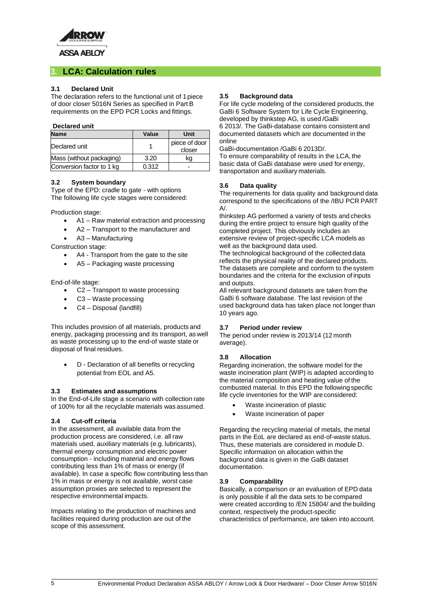

# **3. LCA: Calculation rules**

#### **3.1 Declared Unit**

The declaration refers to the functional unit of 1 piece of door closer 5016N Series as specified in Part B requirements on the EPD PCR Locks and fittings.

#### **Declared unit**

| <b>Name</b>               | Value | Unit                    |
|---------------------------|-------|-------------------------|
| Declared unit             |       | piece of door<br>closer |
| Mass (without packaging)  | 3.20  | kg                      |
| Conversion factor to 1 kg | 0.312 |                         |

#### **3.2 System boundary**

Type of the EPD: cradle to gate - with options The following life cycle stages were considered:

Production stage:

- A1 Raw material extraction and processing
- A2 Transport to the manufacturer and
- A3 Manufacturing

Construction stage:

- A4 Transport from the gate to the site
- A5 Packaging waste processing

End-of-life stage:

- C2 Transport to waste processing
- C3 Waste processing
- C4 Disposal (landfill)

This includes provision of all materials, products and energy, packaging processing and its transport, as well as waste processing up to the end-of waste state or disposal of final residues.

• D - Declaration of all benefits or recycling potential from EOL and A5.

#### **3.3 Estimates and assumptions**

In the End-of-Life stage a scenario with collection rate of 100% for all the recyclable materials was assumed.

#### **3.4 Cut-off criteria**

In the assessment, all available data from the production process are considered, i.e. all raw materials used, auxiliary materials (e.g. lubricants), thermal energy consumption and electric power consumption - including material and energy flows contributing less than 1% of mass or energy (if available). In case a specific flow contributing less than 1% in mass or energy is not available, worst case assumption proxies are selected to represent the respective environmental impacts.

Impacts relating to the production of machines and facilities required during production are out of the scope of this assessment.

#### **3.5 Background data**

For life cycle modeling of the considered products, the GaBi 6 Software System for Life Cycle Engineering, developed by thinkstep AG, is used /GaBi 6 2013/. The GaBi-database contains consistent and

documented datasets which are documented in the online

GaBi-documentation /GaBi 6 2013D/.

To ensure comparability of results in the LCA, the basic data of GaBi database were used for energy, transportation and auxiliary materials.

#### **3.6 Data quality**

The requirements for data quality and background data correspond to the specifications of the /IBU PCR PART  $A/$ .

thinkstep AG performed a variety of tests and checks during the entire project to ensure high quality of the completed project. This obviously includes an extensive review of project-specific LCA models as well as the background data used.

The technological background of the collected data reflects the physical reality of the declared products. The datasets are complete and conform to the system boundaries and the criteria for the exclusion of inputs and outputs.

All relevant background datasets are taken from the GaBi 6 software database. The last revision of the used background data has taken place not longer than 10 years ago.

#### **3.7 Period under review**

The period under review is 2013/14 (12 month average).

#### **3.8 Allocation**

Regarding incineration, the software model for the waste incineration plant (WIP) is adapted according to the material composition and heating value of the combusted material. In this EPD the following specific life cycle inventories for the WIP are considered:

- Waste incineration of plastic
- Waste incineration of paper

Regarding the recycling material of metals, the metal parts in the EoL are declared as end-of-waste status. Thus, these materials are considered in module D. Specific information on allocation within the background data is given in the GaBi dataset documentation.

#### **3.9 Comparability**

Basically, a comparison or an evaluation of EPD data is only possible if all the data sets to be compared were created according to /EN 15804/ and the building context, respectively the product-specific characteristics of performance, are taken into account.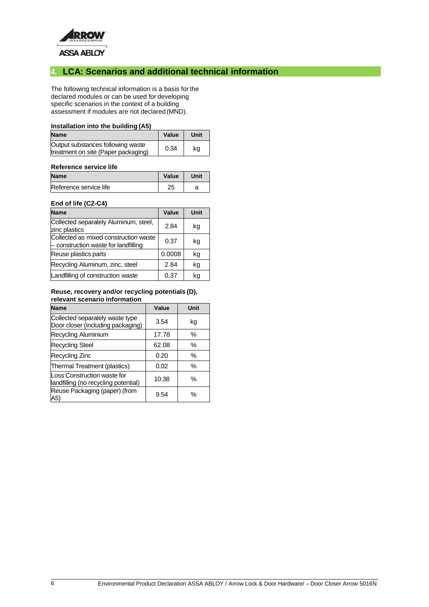

# **4. LCA: Scenarios and additional technical information**

The following technical information is a basis for the declared modules or can be used for developing specific scenarios in the context of a building assessment if modules are not declared (MND).

#### **Installation into the building (A5)**

| <b>Name</b>                                                              | Value | Unit |
|--------------------------------------------------------------------------|-------|------|
| Output substances following waste<br>treatment on site (Paper packaging) | 0.34  | ka   |

#### **Reference service life**

| <b>Name</b>            | Value | Unit |
|------------------------|-------|------|
| Reference service life | 25    |      |

#### **End of life (C2-C4)**

| <b>Name</b>                                                                 | Value  | Unit |
|-----------------------------------------------------------------------------|--------|------|
| Collected separately Aluminum, steel,<br>zinc plastics                      | 2.84   | kg   |
| Collected as mixed construction waste<br>construction waste for landfilling | 0.37   | kg   |
| Reuse plastics parts                                                        | 0.0008 | kg   |
| Recycling Aluminum, zinc, steel                                             | 2.84   | kg   |
| Landfilling of construction waste                                           | 0.37   | ka   |

#### **Reuse, recovery and/or recycling potentials (D), relevant scenario information**

| <b>Name</b>                                                          | Value | Unit |
|----------------------------------------------------------------------|-------|------|
| Collected separately waste type<br>Door closer (including packaging) | 3.54  | kg   |
| Recycling Aluminium                                                  | 17.78 | %    |
| <b>Recycling Steel</b>                                               | 62.08 | %    |
| Recycling Zinc                                                       | 0.20  | %    |
| Thermal Treatment (plastics)                                         | 0.02  | $\%$ |
| Loss Construction waste for<br>landfilling (no recycling potential)  | 10.38 | %    |
| Reuse Packaging (paper) (from<br>A5)                                 | 9.54  | %    |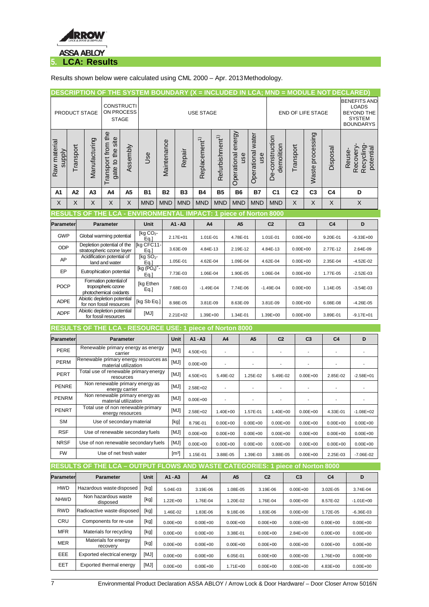

Results shown below were calculated using CML 2000 – Apr. 2013Methodology.

|                                                                                                            |           |                |                                                         |                  |                                       |             |                     |              |                           |                             |                          |                |                          |                               |                          |                          |                |                | <u>DESCRIPTION OF THE SYSTEM BOUNDARY (X = INCLUDED IN LCA; MND = MODULE NOT DECLARED)</u>    |
|------------------------------------------------------------------------------------------------------------|-----------|----------------|---------------------------------------------------------|------------------|---------------------------------------|-------------|---------------------|--------------|---------------------------|-----------------------------|--------------------------|----------------|--------------------------|-------------------------------|--------------------------|--------------------------|----------------|----------------|-----------------------------------------------------------------------------------------------|
| PRODUCT STAGE                                                                                              |           |                | <b>CONSTRUCTI</b><br>ON PROCESS<br><b>STAGE</b>         |                  |                                       |             |                     |              | <b>USE STAGE</b>          |                             |                          |                |                          |                               | <b>END OF LIFE STAGE</b> |                          |                |                | <b>BENEFITS AND</b><br><b>LOADS</b><br><b>BEYOND THE</b><br><b>SYSTEM</b><br><b>BOUNDARYS</b> |
| Raw material<br>supply                                                                                     | Transport | Manufacturing  | Transport from the<br>gate to the site                  | Assembly         | <b>Use</b>                            | Maintenance | Repair              |              | Replacement <sup>1)</sup> | Refurbishment <sup>1)</sup> | Operational energy       | use            | Operational water<br>use | De-construction<br>demolition | Transport                | Waste processing         | Disposal       |                | Recovery-<br>Recycling<br>potential<br>Reuse-                                                 |
| A1                                                                                                         | A2        | A <sub>3</sub> | A4                                                      | A5               | <b>B1</b>                             | <b>B2</b>   | <b>B3</b>           |              | <b>B4</b>                 | <b>B5</b>                   | <b>B6</b>                |                | <b>B7</b>                | C <sub>1</sub>                | C <sub>2</sub>           | C <sub>3</sub>           | C <sub>4</sub> |                | D                                                                                             |
| X                                                                                                          | X         | X              | X                                                       | X                | <b>MND</b>                            | <b>MND</b>  | <b>MND</b>          |              | <b>MND</b>                | <b>MND</b>                  | <b>MND</b>               |                | <b>MND</b>               | <b>MND</b>                    | X                        | X                        | X              |                | Χ                                                                                             |
| RESULTS OF THE LCA - ENVIRONMENTAL IMPACT: 1 piece of Norton 8000                                          |           |                |                                                         |                  |                                       |             |                     |              |                           |                             |                          |                |                          |                               |                          |                          |                |                |                                                                                               |
| Parameter                                                                                                  |           |                | <b>Parameter</b>                                        |                  | Unit                                  |             | A1 - A3             |              | A4                        |                             |                          | A <sub>5</sub> |                          | C <sub>2</sub>                | C <sub>3</sub>           |                          | C <sub>4</sub> |                | D                                                                                             |
| <b>GWP</b>                                                                                                 |           |                | Global warming potential                                |                  | [ $kg$ $CO2$ -<br>Eq.                 |             | 2.17E+01            |              | 1.01E-01                  |                             |                          | 4.78E-01       |                          | 1.01E-01                      | $0.00E + 00$             |                          | 9.20E-01       |                | $-9.33E + 00$                                                                                 |
| <b>ODP</b>                                                                                                 |           |                | Depletion potential of the<br>stratospheric ozone layer |                  | [kg CFC11-<br>Eq.                     |             | 3.63E-09            |              | 4.84E-13                  |                             |                          | 2.19E-12       |                          | 4.84E-13                      | $0.00E + 00$             |                          | 2.77E-12       |                | 2.64E-09                                                                                      |
| AP                                                                                                         |           |                | Acidification potential of<br>land and water            |                  | [kg SO <sub>2</sub> -<br>Eq.]         |             | 1.05E-01            |              | 4.62E-04                  |                             |                          | 1.09E-04       |                          | 4.62E-04                      | $0.00E + 00$             |                          | 2.35E-04       |                | $-4.52E-02$                                                                                   |
| EP                                                                                                         |           |                | Eutrophication potential                                |                  | $[kg (PO4)3$ -                        |             | 7.73E-03            |              | 1.06E-04                  |                             |                          | 1.90E-05       |                          | 1.06E-04                      | $0.00E + 00$             |                          | 1.77E-05       |                | $-2.52E-03$                                                                                   |
| <b>POCP</b>                                                                                                |           |                | Formation potential of<br>tropospheric ozone            |                  | Eq.]<br>[kg Ethen<br>Eq.]             |             | 7.68E-03            |              | $-1.49E-04$               |                             |                          | 7.74E-06       |                          | $-1.49E - 04$                 | $0.00E + 00$             |                          | 1.14E-05       |                | $-3.54E-03$                                                                                   |
| <b>ADPE</b>                                                                                                |           |                | photochemical oxidants<br>Abiotic depletion potential   |                  | [kg Sb Eq.]                           |             |                     |              |                           |                             |                          |                |                          |                               |                          |                          |                |                |                                                                                               |
|                                                                                                            |           |                | for non fossil resources<br>Abiotic depletion potential |                  |                                       |             | 8.98E-05            |              | 3.81E-09                  |                             |                          | 8.63E-09       |                          | 3.81E-09                      | $0.00E + 00$             |                          | 6.08E-08       |                | $-4.26E-05$                                                                                   |
| <b>ADPF</b>                                                                                                |           |                |                                                         |                  | [MJ]                                  |             | $2.21E+02$          |              |                           |                             |                          | 1.34E-01       |                          |                               | $0.00E + 00$             |                          | 3.89E-01       |                | $-9.17E + 01$                                                                                 |
|                                                                                                            |           |                | for fossil resources                                    |                  |                                       |             |                     |              | 1.39E+00                  |                             |                          |                |                          | 1.39E+00                      |                          |                          |                |                |                                                                                               |
| RESULTS OF THE LCA - RESOURCE USE: 1 piece of Norton 8000                                                  |           |                |                                                         |                  |                                       |             |                     |              |                           |                             |                          |                |                          |                               |                          |                          |                |                |                                                                                               |
| Parameter                                                                                                  |           |                |                                                         | <b>Parameter</b> |                                       |             | Unit                | A1 - A3      |                           |                             | A4                       |                | A <sub>5</sub>           | C <sub>2</sub>                |                          | C <sub>3</sub>           |                | C <sub>4</sub> | D                                                                                             |
| PERE                                                                                                       |           |                |                                                         | carrier          | Renewable primary energy as energy    |             | [MJ]                | 4.50E+01     |                           |                             | $\overline{\phantom{a}}$ |                | $\overline{\phantom{a}}$ | $\overline{\phantom{a}}$      |                          | $\overline{\phantom{a}}$ |                | ÷,             | $\overline{\phantom{a}}$                                                                      |
| PERM                                                                                                       |           |                | material utilization                                    |                  | Renewable primary energy resources as |             | [MJ]                | $0.00E + 00$ |                           |                             |                          |                |                          |                               |                          |                          |                |                |                                                                                               |
| PERT                                                                                                       |           |                |                                                         | resources        | Total use of renewable primary energy |             | [MJ]                | 4.50E+01     |                           |                             | 5.49E-02                 |                | 1.25E-02                 | 5.49E-02                      |                          | $0.00E + 00$             |                | 2.85E-02       | $-2.58E + 01$                                                                                 |
| <b>PENRE</b>                                                                                               |           |                |                                                         |                  | Non renewable primary energy as       |             | [MJ]                | 2.58E+02     |                           |                             |                          |                |                          | $\overline{\phantom{a}}$      |                          |                          |                |                |                                                                                               |
| <b>PENRM</b>                                                                                               |           |                |                                                         | energy carrier   | Non renewable primary energy as       |             | [MJ]                | $0.00E + 00$ |                           |                             | $\overline{a}$           |                | ÷,                       |                               |                          |                          |                |                |                                                                                               |
| PENRT                                                                                                      |           |                | material utilization<br>energy resources                |                  | Total use of non renewable primary    |             | [MJ]                | 2.58E+02     |                           |                             | 1.40E+00                 |                | 1.57E-01                 | 1.40E+00                      |                          | $0.00E + 00$             |                | 4.33E-01       | $-1.08E + 02$                                                                                 |
| SM.                                                                                                        |           |                | Use of secondary material                               |                  |                                       |             | [kg]                | 8.79E-01     |                           |                             | $0.00E + 00$             |                | $0.00E + 00$             | $0.00E + 00$                  |                          | $0.00E + 00$             |                | $0.00E + 00$   | $0.00E + 00$                                                                                  |
| <b>RSF</b>                                                                                                 |           |                |                                                         |                  | Use of renewable secondary fuels      |             | [MJ]                | $0.00E + 00$ |                           |                             | $0.00E + 00$             |                | $0.00E + 00$             | $0.00E + 00$                  |                          | $0.00E + 00$             |                | $0.00E + 00$   | $0.00E + 00$                                                                                  |
| <b>NRSF</b>                                                                                                |           |                |                                                         |                  | Use of non renewable secondary fuels  |             | [MJ]                | $0.00E + 00$ |                           |                             | $0.00E + 00$             |                | $0.00E + 00$             | $0.00E + 00$                  |                          | $0.00E + 00$             |                | $0.00E + 00$   | $0.00E + 00$                                                                                  |
| <b>FW</b>                                                                                                  |           |                | Use of net fresh water                                  |                  |                                       |             | $\lceil m^3 \rceil$ | 1.15E-01     |                           |                             | 3.88E-05                 |                | 1.39E-03                 | 3.88E-05                      |                          | $0.00E + 00$             |                | 2.25E-03       | $-7.06E - 02$                                                                                 |
|                                                                                                            |           |                |                                                         |                  |                                       |             |                     |              |                           |                             |                          |                |                          |                               |                          |                          |                |                |                                                                                               |
|                                                                                                            |           |                | <b>Parameter</b>                                        |                  | Unit                                  |             | A1 - A3             |              | A4                        |                             | A5                       |                |                          | C <sub>2</sub>                | C <sub>3</sub>           |                          | C4             |                | D                                                                                             |
| <b>HWD</b>                                                                                                 |           |                | Hazardous waste disposed                                |                  | [kg]                                  |             | 5.04E-03            |              | 3.19E-06                  |                             | 1.08E-05                 |                |                          | 3.19E-06                      | $0.00E + 00$             |                          | 3.02E-05       |                | 3.74E-04                                                                                      |
| RESULTS OF THE LCA - OUTPUT FLOWS AND WASTE CATEGORIES: 1 piece of Norton 8000<br>Parameter<br><b>NHWD</b> |           |                | Non hazardous waste<br>disposed                         |                  | [kg]                                  |             | $1.22E + 00$        |              | 1.76E-04                  |                             | 1.20E-02                 |                |                          | 1.76E-04                      | $0.00E + 00$             |                          | 8.57E-02       |                | $-1.01E + 00$                                                                                 |
| <b>RWD</b>                                                                                                 |           |                | Radioactive waste disposed                              |                  | [kg]                                  |             | 1.46E-02            |              | 1.83E-06                  |                             | 9.18E-06                 |                |                          | 1.83E-06                      | $0.00E + 00$             |                          | 1.72E-05       |                | $-6.36E - 03$                                                                                 |
| CRU                                                                                                        |           |                | Components for re-use                                   |                  | [kg]                                  |             | $0.00E + 00$        |              | $0.00E + 00$              |                             | $0.00E + 00$             |                |                          | $0.00E + 00$                  | $0.00E + 00$             |                          | $0.00E + 00$   |                | $0.00E + 00$                                                                                  |
| <b>MFR</b>                                                                                                 |           |                | Materials for recycling<br>Materials for energy         |                  | [kg]                                  |             | $0.00E + 00$        |              | $0.00E + 00$              |                             | 3.38E-01                 |                |                          | $0.00E + 00$                  | 2.84E+00                 |                          | $0.00E + 00$   |                | $0.00E + 00$                                                                                  |

EEE Exported electrical energy | [MJ] 0.00E+00 0.00E+00 6.05E-01 0.00E+00 0.00E+00 1.76E+00 0.00E+00 EET Exported thermal energy  $\begin{bmatrix}$  [MJ]  $\end{bmatrix}$  0.00E+00 0.00E+00 0.00E+00 0.00E+00 0.00E+00 4.83E+00 0.00E+00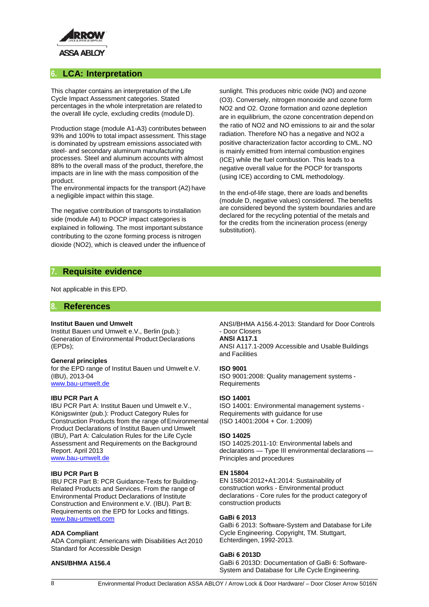

# **6. LCA: Interpretation**

This chapter contains an interpretation of the Life Cycle Impact Assessment categories. Stated percentages in the whole interpretation are related to the overall life cycle, excluding credits (module D).

Production stage (module A1-A3) contributes between 93% and 100% to total impact assessment. This stage is dominated by upstream emissions associated with steel- and secondary aluminum manufacturing processes. Steel and aluminum accounts with almost 88% to the overall mass of the product, therefore, the impacts are in line with the mass composition of the product.

The environmental impacts for the transport (A2) have a negligible impact within this stage.

The negative contribution of transports to installation side (module A4) to POCP impact categories is explained in following. The most important substance contributing to the ozone forming process is nitrogen dioxide (NO2), which is cleaved under the influence of

sunlight. This produces nitric oxide (NO) and ozone (O3). Conversely, nitrogen monoxide and ozone form NO2 and O2. Ozone formation and ozone depletion are in equilibrium, the ozone concentration depend on the ratio of NO2 and NO emissions to air and the solar radiation. Therefore NO has a negative and NO2 a positive characterization factor according to CML. NO is mainly emitted from internal combustion engines (ICE) while the fuel combustion. This leads to a negative overall value for the POCP for transports (using ICE) according to CML methodology.

In the end-of-life stage, there are loads and benefits (module D, negative values) considered. The benefits are considered beyond the system boundaries and are declared for the recycling potential of the metals and for the credits from the incineration process (energy substitution).

## **7. Requisite evidence**

Not applicable in this EPD.

#### **8. References**

#### **Institut Bauen und Umwelt**

Institut Bauen und Umwelt e.V., Berlin (pub.): Generation of Environmental Product Declarations (EPDs);

#### **General principles**

for the EPD range of Institut Bauen und Umwelt e.V. (IBU), 2013-04 [www.bau-umwelt.de](http://www.bau-umwelt.de/)

#### **IBU PCR Part A**

IBU PCR Part A: Institut Bauen und Umwelt e.V., Königswinter (pub.): Product Category Rules for Construction Products from the range of Environmental Product Declarations of Institut Bauen und Umwelt (IBU), Part A: Calculation Rules for the Life Cycle Assessment and Requirements on the Background Report. April 2013 [www.bau-umwelt.de](http://www.bau-umwelt.de/)

#### **IBU PCR Part B**

IBU PCR Part B: PCR Guidance-Texts for Building-Related Products and Services. From the range of Environmental Product Declarations of Institute Construction and Environment e.V. (IBU). Part B: Requirements on the EPD for Locks and fittings. [www.bau-umwelt.com](http://www.bau-umwelt.com/)

#### **ADA Compliant**

ADA Compliant: Americans with Disabilities Act 2010 Standard for Accessible Design

#### **ANSI/BHMA A156.4**

ANSI/BHMA A156.4-2013: Standard for Door Controls - Door Closers

#### **ANSI A117.1**

ANSI A117.1-2009 Accessible and Usable Buildings and Facilities

#### **ISO 9001**

ISO 9001:2008: Quality management systems - Requirements

#### **ISO 14001**

ISO 14001: Environmental management systems - Requirements with guidance for use (ISO 14001:2004 + Cor. 1:2009)

#### **ISO 14025**

ISO 14025:2011-10: Environmental labels and declarations — Type III environmental declarations — Principles and procedures

#### **EN 15804**

EN 15804:2012+A1:2014: Sustainability of construction works - Environmental product declarations - Core rules for the product category of construction products

#### **GaBi 6 2013**

GaBi 6 2013: Software-System and Database for Life Cycle Engineering. Copyright, TM. Stuttgart, Echterdingen, 1992-2013.

#### **GaBi 6 2013D**

GaBi 6 2013D: Documentation of GaBi 6: Software-System and Database for Life Cycle Engineering.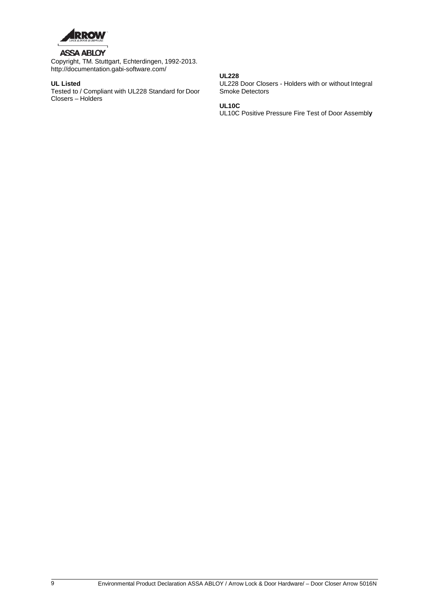

# **ASSA ABLOY**

Copyright, TM. Stuttgart, Echterdingen, 1992-2013[.](http://documentation.gabi-software.com/) <http://documentation.gabi-software.com/>

### **UL Listed**

Tested to / Compliant with UL228 Standard for Door Closers – Holders

### **UL228**

UL228 Door Closers - Holders with or without Integral Smoke Detectors

#### **UL10C**

UL10C Positive Pressure Fire Test of Door Assembl**y**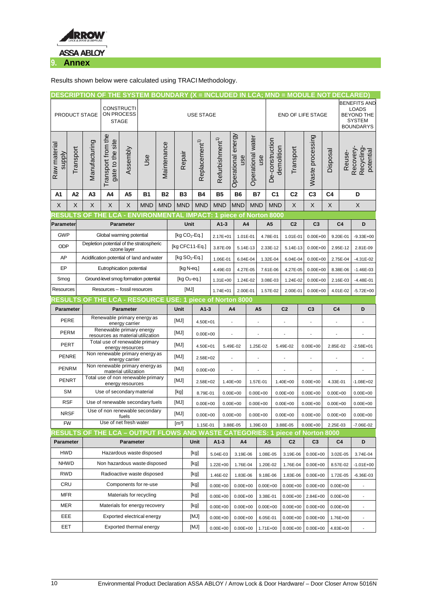

Results shown below were calculated using TRACI Methodology.

|                                                                     |                                                       |                                                                             |                                         | DESCRIPTION OF THE SYSTEM BOUNDARY (X = INCLUDED IN LCA; MND = MODULE NOT DECLARED) |                 |                   |                  |                      |                           |                             |                                |                          |                |                               |                                        |                                                                                               |                |                |                                     |
|---------------------------------------------------------------------|-------------------------------------------------------|-----------------------------------------------------------------------------|-----------------------------------------|-------------------------------------------------------------------------------------|-----------------|-------------------|------------------|----------------------|---------------------------|-----------------------------|--------------------------------|--------------------------|----------------|-------------------------------|----------------------------------------|-----------------------------------------------------------------------------------------------|----------------|----------------|-------------------------------------|
|                                                                     |                                                       | <b>CONSTRUCTI</b><br>ON PROCESS<br>PRODUCT STAGE<br><b>STAGE</b>            |                                         | <b>USE STAGE</b>                                                                    |                 |                   |                  |                      |                           |                             |                                | <b>END OF LIFE STAGE</b> |                |                               |                                        | <b>BENEFITS AND</b><br><b>LOADS</b><br><b>BEYOND THE</b><br><b>SYSTEM</b><br><b>BOUNDARYS</b> |                |                |                                     |
| Raw materia<br><b>Alddns</b>                                        | Transport                                             | Manufacturing                                                               | Transport from the<br>gate to the site  | Assembly                                                                            | Use             | Maintenance       | Repair           |                      | Replacement <sup>1)</sup> | Refurbishment <sup>1)</sup> | Operational energy<br>use      | Operational water        | use            | De-construction<br>demolition | Transport                              | Waste processing                                                                              | Disposal       | Reuse-         | Recovery-<br>Recycling<br>potential |
| A1                                                                  | A <sub>2</sub>                                        | A3                                                                          | A4                                      | A5                                                                                  | <b>B1</b>       | <b>B2</b>         | <b>B3</b>        |                      | <b>B4</b>                 | <b>B5</b>                   | <b>B6</b>                      | <b>B7</b>                |                | C <sub>1</sub>                | C <sub>2</sub>                         | C <sub>3</sub>                                                                                | C <sub>4</sub> |                | D                                   |
| X                                                                   | X                                                     | $\mathsf X$                                                                 | X                                       | X                                                                                   | <b>MND</b>      | <b>MND</b>        | <b>MND</b>       |                      | <b>MND</b>                | <b>MND</b>                  | <b>MND</b>                     | <b>MND</b>               |                | <b>MND</b>                    | X                                      | $\mathsf X$                                                                                   | X              |                | X                                   |
| RESU                                                                | ΤS                                                    | <b>OF THE</b>                                                               | LCA                                     |                                                                                     | - ENVIRONMENTAL |                   |                  | <b>IMPACT</b>        |                           |                             | piece of Norton 8000           |                          |                |                               |                                        |                                                                                               |                |                |                                     |
| Parameter                                                           |                                                       | Parameter                                                                   |                                         |                                                                                     |                 |                   |                  | Unit                 |                           | $A1-3$                      |                                | A4                       |                | A <sub>5</sub>                | C <sub>2</sub>                         | C <sub>3</sub>                                                                                |                | C <sub>4</sub> | D                                   |
| <b>GWP</b>                                                          |                                                       | Global warming potential<br>Depletion potential of the stratospheric        |                                         |                                                                                     |                 |                   |                  | [kg $CO2$ -Eq.]      |                           | 2.17E+01                    | 1.01E-01                       |                          |                | 4.78E-01                      | 1.01E-01                               | $0.00E + 00$                                                                                  |                | 9.20E-01       | $-9.33E + 00$                       |
| <b>ODP</b>                                                          |                                                       | ozone layer                                                                 |                                         |                                                                                     |                 |                   | [kg CFC11-Eq.]   |                      |                           | 3.87E-09                    |                                | 5.14E-13                 |                | 2.33E-12                      | 5.14E-13                               | $0.00E + 00$                                                                                  |                | 2.95E-12       | 2.81E-09                            |
| AP                                                                  |                                                       | Acidification potential of land and water                                   |                                         |                                                                                     |                 |                   |                  | [ $kg SO2-Eq.$ ]     |                           | 1.06E-01                    |                                | 6.04E-04                 |                | 1.32E-04                      | 6.04E-04                               | $0.00E + 00$                                                                                  |                | 2.75E-04       | $-4.31E-02$                         |
| EP                                                                  |                                                       | Eutrophication potential                                                    |                                         |                                                                                     |                 |                   | [kg N-eq.]       |                      |                           | 4.49E-03                    | 4.27E-05                       |                          | 7.61E-06       |                               | 4.27E-05                               | $0.00E + 00$                                                                                  |                | 8.38E-06       | $-1.46E-03$                         |
| Smog                                                                |                                                       | Ground-level smog formation potential                                       |                                         |                                                                                     |                 |                   | [kg $O_3$ -eq.]  |                      |                           | 1.31E+00                    | 1.24E-02                       |                          |                | 3.08E-03                      | 1.24E-02                               | $0.00E + 00$                                                                                  |                | 2.16E-03       | $-4.48E - 01$                       |
| Resources                                                           |                                                       | Resources - fossil resources                                                |                                         |                                                                                     |                 | [MJ]              |                  |                      | 1.74E+01                  |                             | 2.00E-01                       |                          | 1.57E-02       | 2.00E-01                      | $0.00E + 00$                           |                                                                                               | 4.01E-02       | $-5.72E + 00$  |                                     |
| <b>RESULTS</b><br>OF THE LCA - RESOURCE USE: 1 piece of Norton 8000 |                                                       |                                                                             |                                         |                                                                                     |                 |                   |                  |                      |                           |                             |                                |                          |                |                               |                                        |                                                                                               |                |                |                                     |
| <b>Parameter</b>                                                    |                                                       | <b>Parameter</b>                                                            |                                         |                                                                                     |                 |                   | Unit<br>$A1-3$   |                      |                           | A4<br>A <sub>5</sub>        |                                |                          | C <sub>2</sub> |                               | C <sub>3</sub>                         |                                                                                               | C <sub>4</sub> | D              |                                     |
| PERE                                                                |                                                       | Renewable primary energy as<br>energy carrier                               |                                         |                                                                                     |                 |                   | [MJ]             | 4.50E+01             |                           |                             |                                |                          | ÷,             |                               | ÷,                                     | ÷,                                                                                            |                | $\blacksquare$ | ÷,                                  |
| <b>PERM</b>                                                         |                                                       | Renewable primary energy<br>resources as material utilization               |                                         |                                                                                     |                 |                   | [MJ]             | $0.00E + 00$         |                           |                             |                                |                          |                |                               |                                        |                                                                                               |                |                |                                     |
| <b>PERT</b>                                                         |                                                       | Total use of renewable primary<br>energy resources                          |                                         |                                                                                     |                 |                   | [MJ]<br>4.50E+01 |                      |                           | 5.49E-02                    |                                | 1.25E-02                 |                | 5.49E-02                      | $0.00E + 00$                           | 2.85E-02                                                                                      |                | $-2.58E + 01$  |                                     |
| <b>PENRE</b>                                                        |                                                       | Non renewable primary energy as                                             |                                         |                                                                                     |                 |                   | [MJ]<br>2.58E+02 |                      |                           |                             |                                |                          |                |                               |                                        |                                                                                               |                |                |                                     |
| <b>PENRM</b>                                                        |                                                       | energy carrier<br>Non renewable primary energy as                           |                                         |                                                                                     |                 |                   | [MJ]             |                      |                           |                             |                                |                          |                |                               |                                        |                                                                                               |                |                |                                     |
|                                                                     |                                                       | material utilization<br>Total use of non renewable primary                  |                                         |                                                                                     |                 |                   | $0.00E + 00$     |                      |                           |                             | ÷,<br>$\overline{\phantom{a}}$ |                          |                | ÷,                            |                                        | Ξ                                                                                             |                | ÷,             | ÷,                                  |
|                                                                     | <b>PENRT</b>                                          |                                                                             | energy resources                        |                                                                                     |                 |                   | [MJ]<br>2.58E+02 |                      |                           |                             | 1.40E+00                       |                          | 1.57E-01       |                               | 1.40E+00                               | $0.00E + 00$                                                                                  |                | 4.33E-01       | $-1.08E + 02$                       |
| <b>SM</b>                                                           |                                                       | Use of secondary material                                                   |                                         |                                                                                     |                 |                   | [kg]<br>8.79E-01 |                      |                           |                             | $0.00E + 00$                   |                          | $0.00E + 00$   |                               | $0.00E + 00$                           | $0.00E + 00$                                                                                  |                | $0.00E + 00$   | $0.00E + 00$                        |
| <b>RSF</b>                                                          |                                                       | Use of renewable secondary fuels                                            |                                         |                                                                                     |                 |                   | [MJ]             |                      | $0.00E + 00$              | $0.00E + 00$                |                                | $0.00E + 00$             |                |                               | $0.00E + 00$                           | $0.00E + 00$                                                                                  |                | $0.00E + 00$   | $0.00E + 00$                        |
|                                                                     | <b>NRSF</b>                                           |                                                                             | Use of non renewable secondary<br>fuels |                                                                                     |                 |                   |                  | [MJ]<br>$0.00E + 00$ |                           |                             | $0.00E + 00$                   |                          | $0.00E + 00$   |                               | $0.00E + 00$                           | $0.00E + 00$                                                                                  |                | $0.00E + 00$   | $0.00E + 00$                        |
| <b>FW</b>                                                           |                                                       | Use of net fresh water<br>OF THE LCA - OUTPUT FLOWS AND WASTE CATEGORIES: 1 |                                         |                                                                                     |                 | [m <sup>3</sup> ] | 1.15E-01         |                      |                           | 3.88E-05                    |                                | 1.39E-03                 |                | 3.88E-05                      | $0.00E + 00$                           |                                                                                               | 2.25E-03       | $-7.06E - 02$  |                                     |
| <b>RESULTS</b><br>Parameter                                         |                                                       |                                                                             |                                         | <b>Parameter</b>                                                                    |                 |                   |                  | Unit                 |                           | $A1-3$                      | A4                             |                          | A5             |                               | piece of Norton 8000<br>C <sub>2</sub> | C3                                                                                            |                | C4             | D                                   |
|                                                                     |                                                       |                                                                             |                                         |                                                                                     |                 |                   |                  |                      |                           |                             |                                |                          |                |                               |                                        |                                                                                               |                |                |                                     |
|                                                                     | <b>HWD</b><br>Hazardous waste disposed<br><b>NHWD</b> |                                                                             |                                         |                                                                                     |                 |                   |                  | [kg]                 |                           | 5.04E-03<br>3.19E-06        |                                | 1.08E-05                 |                | 3.19E-06                      | $0.00E + 00$                           |                                                                                               | 3.02E-05       | 3.74E-04       |                                     |
|                                                                     |                                                       | Non hazardous waste disposed                                                |                                         |                                                                                     |                 |                   | [kg]             |                      |                           | 1.22E+00                    | 1.76E-04                       | 1.20E-02                 |                | 1.76E-04                      |                                        | $0.00E + 00$                                                                                  |                | 8.57E-02       | $-1.01E + 00$                       |
| <b>RWD</b>                                                          |                                                       | Radioactive waste disposed                                                  |                                         |                                                                                     |                 |                   | [kg]             |                      |                           | 1.46E-02                    | 1.83E-06                       |                          | 9.18E-06       |                               | 1.83E-06                               | $0.00E + 00$                                                                                  |                | 1.72E-05       | $-6.36E - 03$                       |
| CRU                                                                 |                                                       | Components for re-use                                                       |                                         |                                                                                     |                 |                   | [kg]             |                      |                           | $0.00E + 00$                | $0.00E + 00$                   |                          | $0.00E + 00$   |                               | $0.00E + 00$                           | $0.00E + 00$                                                                                  |                | $0.00E + 00$   |                                     |
| <b>MFR</b>                                                          |                                                       | Materials for recycling                                                     |                                         |                                                                                     |                 |                   |                  | [kg]                 |                           | $0.00E + 00$                | $0.00E + 00$                   |                          | 3.38E-01       |                               | $0.00E + 00$                           | 2.84E+00                                                                                      |                | $0.00E + 00$   | $\overline{\phantom{a}}$            |
| <b>MER</b>                                                          |                                                       | Materials for energy recovery                                               |                                         |                                                                                     |                 |                   |                  | [kg]                 |                           | $0.00E + 00$                | $0.00E + 00$                   |                          | $0.00E + 00$   |                               | $0.00E + 00$                           | $0.00E + 00$                                                                                  |                | $0.00E + 00$   |                                     |
| EEE                                                                 |                                                       | Exported electrical energy                                                  |                                         |                                                                                     |                 |                   |                  | [MJ]                 |                           | $0.00E + 00$                | $0.00E + 00$                   |                          | 6.05E-01       |                               | $0.00E + 00$<br>$0.00E + 00$           |                                                                                               |                | 1.76E+00       |                                     |
| EET                                                                 |                                                       | Exported thermal energy                                                     |                                         |                                                                                     |                 |                   | [MJ]             |                      |                           | $0.00E + 00$                | $0.00E + 00$                   | 1.71E+00                 |                |                               | $0.00E + 00$                           | $0.00E + 00$                                                                                  |                | 4.83E+00       | $\overline{\phantom{a}}$            |